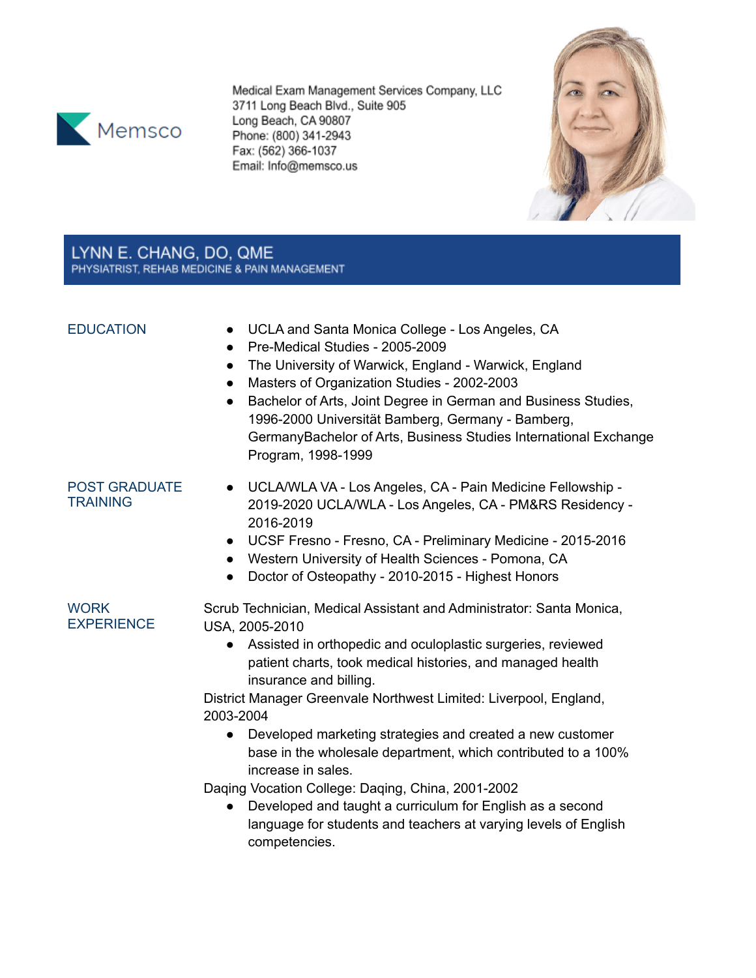

Medical Exam Management Services Company, LLC 3711 Long Beach Blvd., Suite 905 Long Beach, CA 90807 Phone: (800) 341-2943 Fax: (562) 366-1037 Email: Info@memsco.us



# LYNN E. CHANG, DO, QME PHYSIATRIST, REHAB MEDICINE & PAIN MANAGEMENT

- EDUCATION UCLA and Santa Monica College Los Angeles, CA
	- Pre-Medical Studies 2005-2009
	- The University of Warwick, England Warwick, England
	- Masters of Organization Studies 2002-2003
	- Bachelor of Arts, Joint Degree in German and Business Studies, 1996-2000 Universität Bamberg, Germany - Bamberg, GermanyBachelor of Arts, Business Studies International Exchange Program, 1998-1999

## POST GRADUATE **TRAINING**

- UCLA/WLA VA Los Angeles, CA Pain Medicine Fellowship 2019-2020 UCLA/WLA - Los Angeles, CA - PM&RS Residency - 2016-2019
- UCSF Fresno Fresno, CA Preliminary Medicine 2015-2016
- Western University of Health Sciences Pomona, CA
- Doctor of Osteopathy 2010-2015 Highest Honors

**WORK EXPERIENCE** 

Scrub Technician, Medical Assistant and Administrator: Santa Monica, USA, 2005-2010

● Assisted in orthopedic and oculoplastic surgeries, reviewed patient charts, took medical histories, and managed health insurance and billing.

District Manager Greenvale Northwest Limited: Liverpool, England, 2003-2004

● Developed marketing strategies and created a new customer base in the wholesale department, which contributed to a 100% increase in sales.

Daqing Vocation College: Daqing, China, 2001-2002

Developed and taught a curriculum for English as a second language for students and teachers at varying levels of English competencies.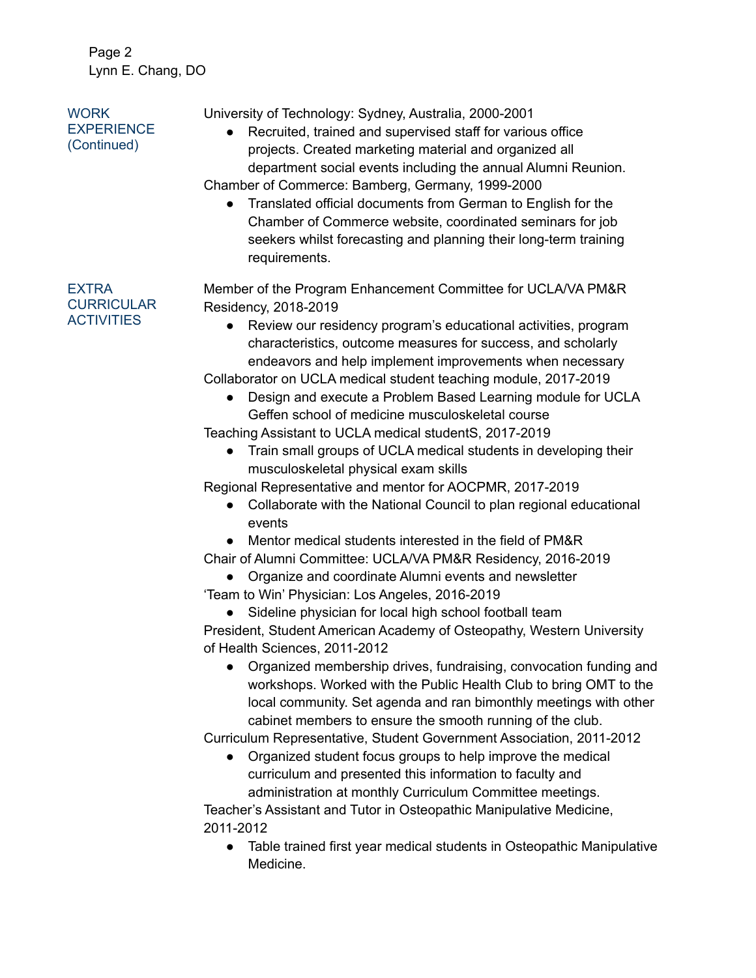Page 2 Lynn E. Chang, DO

| <b>WORK</b><br><b>EXPERIENCE</b><br>(Continued)        | University of Technology: Sydney, Australia, 2000-2001<br>Recruited, trained and supervised staff for various office<br>projects. Created marketing material and organized all<br>department social events including the annual Alumni Reunion.<br>Chamber of Commerce: Bamberg, Germany, 1999-2000<br>Translated official documents from German to English for the<br>$\bullet$<br>Chamber of Commerce website, coordinated seminars for job<br>seekers whilst forecasting and planning their long-term training<br>requirements. |
|--------------------------------------------------------|------------------------------------------------------------------------------------------------------------------------------------------------------------------------------------------------------------------------------------------------------------------------------------------------------------------------------------------------------------------------------------------------------------------------------------------------------------------------------------------------------------------------------------|
| <b>EXTRA</b><br><b>CURRICULAR</b><br><b>ACTIVITIES</b> | Member of the Program Enhancement Committee for UCLA/VA PM&R                                                                                                                                                                                                                                                                                                                                                                                                                                                                       |
|                                                        | Residency, 2018-2019<br>Review our residency program's educational activities, program<br>characteristics, outcome measures for success, and scholarly<br>endeavors and help implement improvements when necessary                                                                                                                                                                                                                                                                                                                 |
|                                                        | Collaborator on UCLA medical student teaching module, 2017-2019<br>Design and execute a Problem Based Learning module for UCLA<br>Geffen school of medicine musculoskeletal course                                                                                                                                                                                                                                                                                                                                                 |
|                                                        | Teaching Assistant to UCLA medical studentS, 2017-2019                                                                                                                                                                                                                                                                                                                                                                                                                                                                             |
|                                                        | Train small groups of UCLA medical students in developing their                                                                                                                                                                                                                                                                                                                                                                                                                                                                    |
|                                                        | musculoskeletal physical exam skills                                                                                                                                                                                                                                                                                                                                                                                                                                                                                               |
|                                                        | Regional Representative and mentor for AOCPMR, 2017-2019                                                                                                                                                                                                                                                                                                                                                                                                                                                                           |
|                                                        | Collaborate with the National Council to plan regional educational<br>events                                                                                                                                                                                                                                                                                                                                                                                                                                                       |
|                                                        | Mentor medical students interested in the field of PM&R                                                                                                                                                                                                                                                                                                                                                                                                                                                                            |
|                                                        | Chair of Alumni Committee: UCLA/VA PM&R Residency, 2016-2019                                                                                                                                                                                                                                                                                                                                                                                                                                                                       |
|                                                        | Organize and coordinate Alumni events and newsletter                                                                                                                                                                                                                                                                                                                                                                                                                                                                               |
|                                                        | 'Team to Win' Physician: Los Angeles, 2016-2019                                                                                                                                                                                                                                                                                                                                                                                                                                                                                    |
|                                                        | Sideline physician for local high school football team                                                                                                                                                                                                                                                                                                                                                                                                                                                                             |
|                                                        | President, Student American Academy of Osteopathy, Western University                                                                                                                                                                                                                                                                                                                                                                                                                                                              |
|                                                        | of Health Sciences, 2011-2012                                                                                                                                                                                                                                                                                                                                                                                                                                                                                                      |
|                                                        | Organized membership drives, fundraising, convocation funding and<br>workshops. Worked with the Public Health Club to bring OMT to the<br>local community. Set agenda and ran bimonthly meetings with other<br>cabinet members to ensure the smooth running of the club.                                                                                                                                                                                                                                                           |
|                                                        | Curriculum Representative, Student Government Association, 2011-2012                                                                                                                                                                                                                                                                                                                                                                                                                                                               |
|                                                        | Organized student focus groups to help improve the medical                                                                                                                                                                                                                                                                                                                                                                                                                                                                         |
|                                                        | curriculum and presented this information to faculty and                                                                                                                                                                                                                                                                                                                                                                                                                                                                           |

administration at monthly Curriculum Committee meetings. Teacher's Assistant and Tutor in Osteopathic Manipulative Medicine, 2011-2012

● Table trained first year medical students in Osteopathic Manipulative Medicine.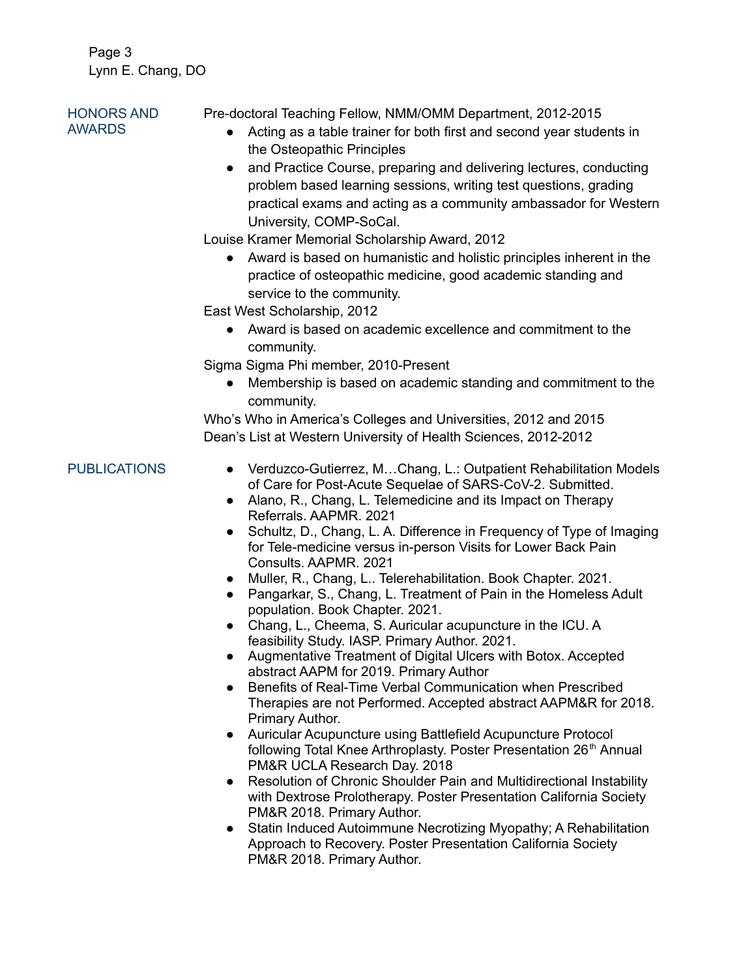Page 3 Lynn E. Chang, DO

### HONORS AND AWARDS Pre-doctoral Teaching Fellow, NMM/OMM Department, 2012-2015 ● Acting as a table trainer for both first and second year students in the Osteopathic Principles

• and Practice Course, preparing and delivering lectures, conducting problem based learning sessions, writing test questions, grading practical exams and acting as a community ambassador for Western University, COMP-SoCal.

Louise Kramer Memorial Scholarship Award, 2012

● Award is based on humanistic and holistic principles inherent in the practice of osteopathic medicine, good academic standing and service to the community.

East West Scholarship, 2012

● Award is based on academic excellence and commitment to the community.

Sigma Sigma Phi member, 2010-Present

● Membership is based on academic standing and commitment to the community.

Who's Who in America's Colleges and Universities, 2012 and 2015 Dean's List at Western University of Health Sciences, 2012-2012

- PUBLICATIONS Verduzco-Gutierrez, M...Chang, L.: Outpatient Rehabilitation Models of Care for Post-Acute Sequelae of SARS-CoV-2. Submitted.
	- Alano, R., Chang, L. Telemedicine and its Impact on Therapy Referrals. AAPMR. 2021
	- Schultz, D., Chang, L. A. Difference in Frequency of Type of Imaging for Tele-medicine versus in-person Visits for Lower Back Pain Consults. AAPMR. 2021
	- Muller, R., Chang, L.. Telerehabilitation. Book Chapter. 2021.
	- Pangarkar, S., Chang, L. Treatment of Pain in the Homeless Adult population. Book Chapter. 2021.
	- Chang, L., Cheema, S. Auricular acupuncture in the ICU. A feasibility Study. IASP. Primary Author. 2021.
	- Augmentative Treatment of Digital Ulcers with Botox. Accepted abstract AAPM for 2019. Primary Author
	- Benefits of Real-Time Verbal Communication when Prescribed Therapies are not Performed. Accepted abstract AAPM&R for 2018. Primary Author.
	- Auricular Acupuncture using Battlefield Acupuncture Protocol following Total Knee Arthroplasty. Poster Presentation 26<sup>th</sup> Annual PM&R UCLA Research Day. 2018
	- Resolution of Chronic Shoulder Pain and Multidirectional Instability with Dextrose Prolotherapy. Poster Presentation California Society PM&R 2018. Primary Author.
	- Statin Induced Autoimmune Necrotizing Myopathy; A Rehabilitation Approach to Recovery. Poster Presentation California Society PM&R 2018. Primary Author.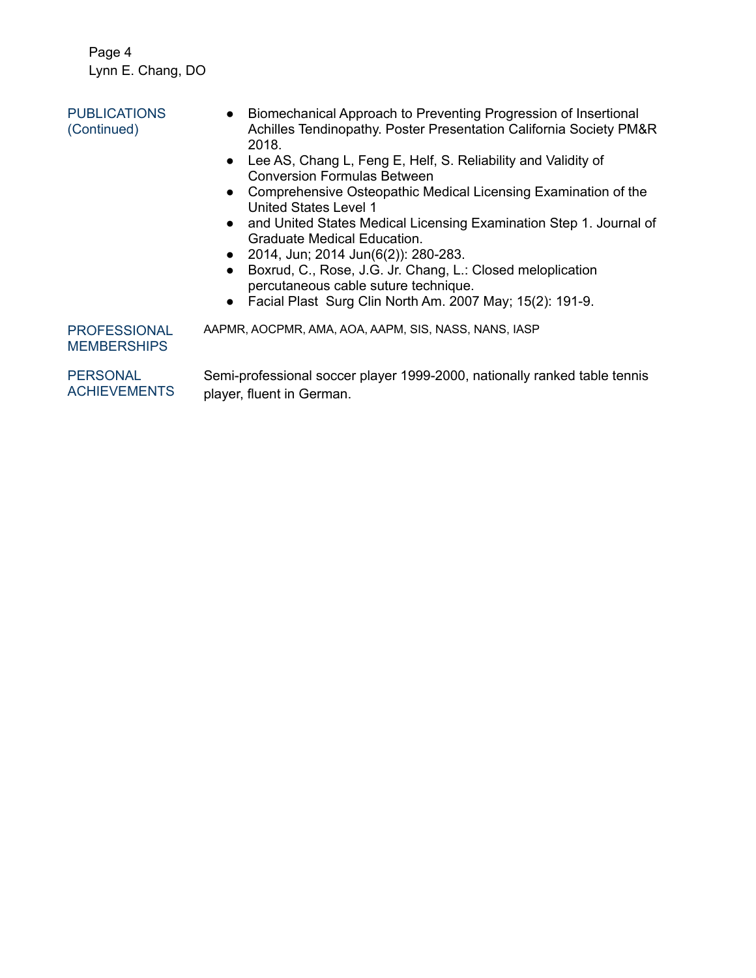Page 4 Lynn E. Chang, DO

| <b>PUBLICATIONS</b><br>(Continued) | Biomechanical Approach to Preventing Progression of Insertional<br>Achilles Tendinopathy. Poster Presentation California Society PM&R<br>2018. |
|------------------------------------|------------------------------------------------------------------------------------------------------------------------------------------------|
|                                    | Lee AS, Chang L, Feng E, Helf, S, Reliability and Validity of                                                                                  |

- Lee AS, Chang L, Feng E, Helf, S. Reliability and Validity of Conversion Formulas Between
- Comprehensive Osteopathic Medical Licensing Examination of the United States Level 1
- and United States Medical Licensing Examination Step 1. Journal of Graduate Medical Education.
- 2014, Jun; 2014 Jun(6(2)): 280-283.
- Boxrud, C., Rose, J.G. Jr. Chang, L.: Closed meloplication percutaneous cable suture technique.
- Facial Plast Surg Clin North Am. 2007 May; 15(2): 191-9.

PROFESSIONAL MEMBERSHIPS AAPMR, AOCPMR, AMA, AOA, AAPM, SIS, NASS, NANS, IASP

PERSONAL **ACHIEVEMENTS** Semi-professional soccer player 1999-2000, nationally ranked table tennis player, fluent in German.